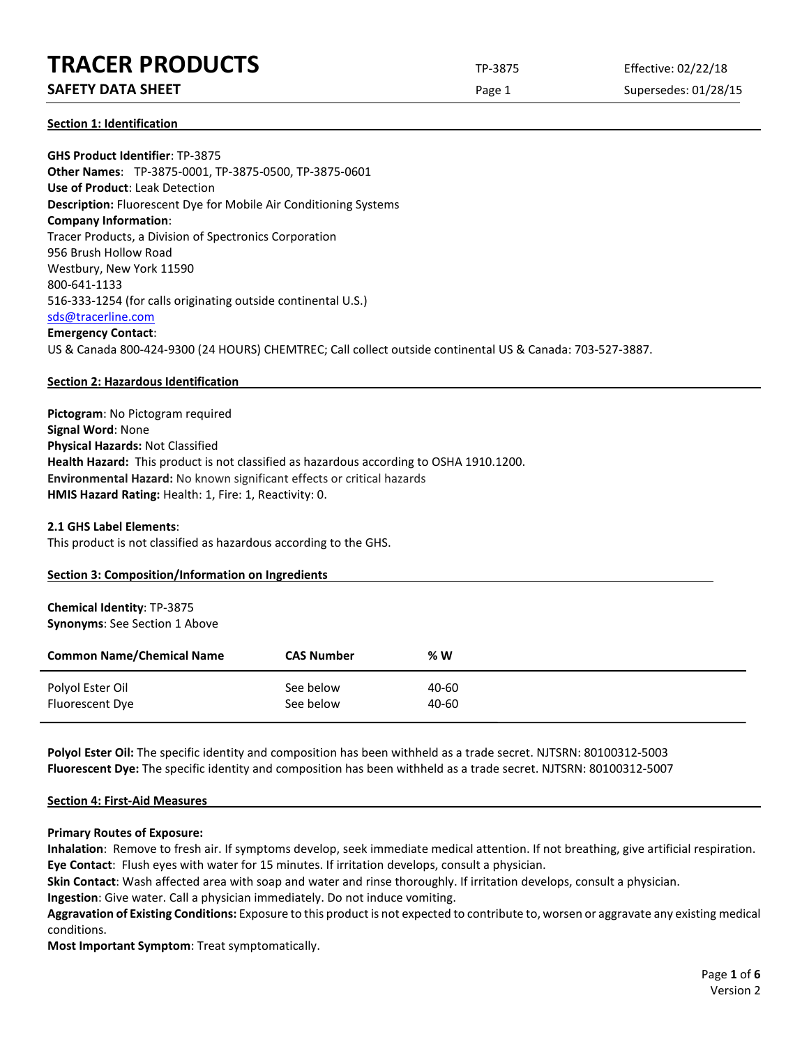# **TRACER PRODUCTS** TP-3875 Effective: 02/22/18

# **SAFETY DATA SHEET** SUPERFOUR CONSUMING THE Page 1 Supersedes: 01/28/15

**Section 1: Identification**

**GHS Product Identifier**: TP-3875 **Other Names**: TP-3875-0001, TP-3875-0500, TP-3875-0601 **Use of Product**: Leak Detection **Description:** Fluorescent Dye for Mobile Air Conditioning Systems **Company Information**: Tracer Products, a Division of Spectronics Corporation 956 Brush Hollow Road Westbury, New York 11590 800-641-1133 516-333-1254 (for calls originating outside continental U.S.) [sds@tracerline.com](mailto:sds@tracerline.com) **Emergency Contact**: US & Canada 800-424-9300 (24 HOURS) CHEMTREC; Call collect outside continental US & Canada: 703-527-3887.

#### **Section 2: Hazardous Identification**

**Pictogram**: No Pictogram required **Signal Word**: None **Physical Hazards:** Not Classified **Health Hazard:** This product is not classified as hazardous according to OSHA 1910.1200. **Environmental Hazard:** No known significant effects or critical hazards **HMIS Hazard Rating:** Health: 1, Fire: 1, Reactivity: 0.

#### **2.1 GHS Label Elements**:

This product is not classified as hazardous according to the GHS.

|  |  |  | Section 3: Composition/Information on Ingredients |  |  |
|--|--|--|---------------------------------------------------|--|--|
|--|--|--|---------------------------------------------------|--|--|

#### **Chemical Identity**: TP-3875 **Synonyms**: See Section 1 Above

| <b>Common Name/Chemical Name</b> | <b>CAS Number</b> | % W   |
|----------------------------------|-------------------|-------|
| Polyol Ester Oil                 | See below         | 40-60 |
| Fluorescent Dye                  | See below         | 40-60 |

**Polyol Ester Oil:** The specific identity and composition has been withheld as a trade secret. NJTSRN: 80100312-5003 **Fluorescent Dye:** The specific identity and composition has been withheld as a trade secret. NJTSRN: 80100312-5007

#### **Section 4: First-Aid Measures**

#### **Primary Routes of Exposure:**

**Inhalation**: Remove to fresh air. If symptoms develop, seek immediate medical attention. If not breathing, give artificial respiration. **Eye Contact**: Flush eyes with water for 15 minutes. If irritation develops, consult a physician.

**Skin Contact**: Wash affected area with soap and water and rinse thoroughly. If irritation develops, consult a physician.

**Ingestion**: Give water. Call a physician immediately. Do not induce vomiting.

**Aggravation of Existing Conditions:** Exposure to this product is not expected to contribute to, worsen or aggravate any existing medical conditions.

**Most Important Symptom**: Treat symptomatically.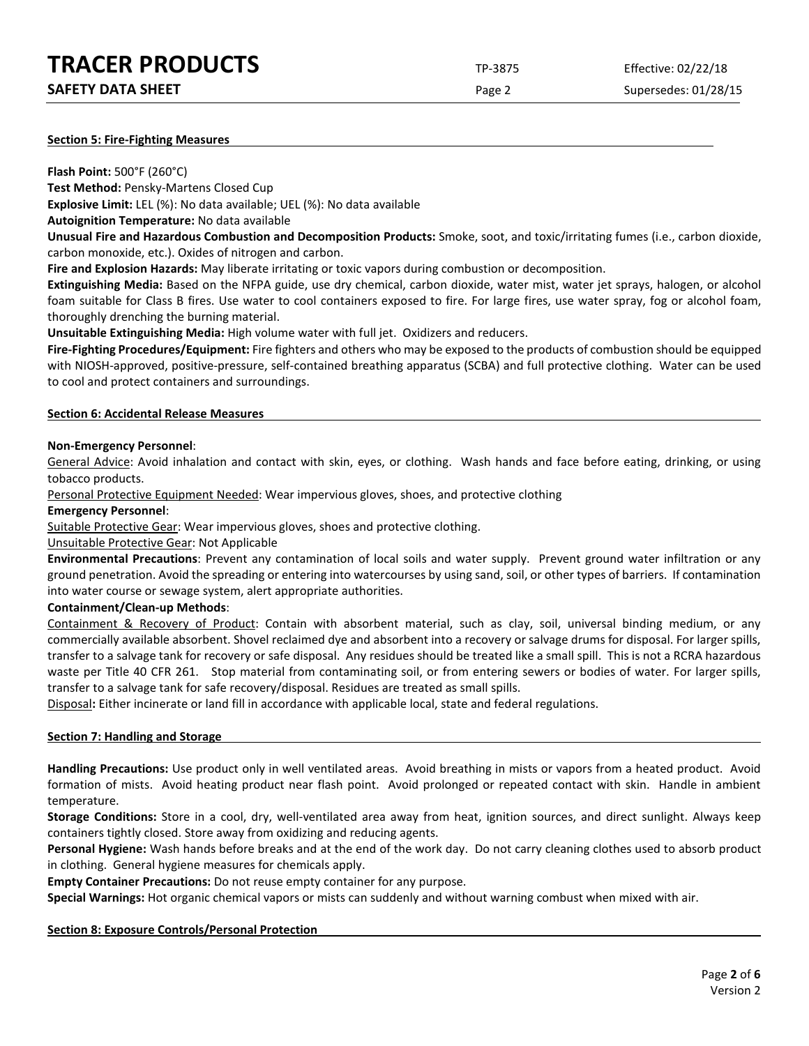| <b>TRACER PRODUCTS</b> | TP-3875 | Effective: 02/22/18 |
|------------------------|---------|---------------------|
|                        |         |                     |

Page 2 Supersedes: 01/28/15

#### **Section 5: Fire-Fighting Measures**

**Flash Point:** 500°F (260°C)

**Test Method:** Pensky-Martens Closed Cup

**Explosive Limit:** LEL (%): No data available; UEL (%): No data available

**Autoignition Temperature:** No data available

**Unusual Fire and Hazardous Combustion and Decomposition Products:** Smoke, soot, and toxic/irritating fumes (i.e., carbon dioxide, carbon monoxide, etc.). Oxides of nitrogen and carbon.

**Fire and Explosion Hazards:** May liberate irritating or toxic vapors during combustion or decomposition.

**Extinguishing Media:** Based on the NFPA guide, use dry chemical, carbon dioxide, water mist, water jet sprays, halogen, or alcohol foam suitable for Class B fires. Use water to cool containers exposed to fire. For large fires, use water spray, fog or alcohol foam, thoroughly drenching the burning material.

**Unsuitable Extinguishing Media:** High volume water with full jet. Oxidizers and reducers.

**Fire-Fighting Procedures/Equipment:** Fire fighters and others who may be exposed to the products of combustion should be equipped with NIOSH-approved, positive-pressure, self-contained breathing apparatus (SCBA) and full protective clothing. Water can be used to cool and protect containers and surroundings.

#### **Section 6: Accidental Release Measures**

# **Non-Emergency Personnel**:

General Advice: Avoid inhalation and contact with skin, eyes, or clothing. Wash hands and face before eating, drinking, or using tobacco products.

Personal Protective Equipment Needed: Wear impervious gloves, shoes, and protective clothing

#### **Emergency Personnel**:

Suitable Protective Gear: Wear impervious gloves, shoes and protective clothing.

Unsuitable Protective Gear: Not Applicable

**Environmental Precautions**: Prevent any contamination of local soils and water supply. Prevent ground water infiltration or any ground penetration. Avoid the spreading or entering into watercourses by using sand, soil, or other types of barriers. If contamination into water course or sewage system, alert appropriate authorities.

# **Containment/Clean-up Methods**:

Containment & Recovery of Product: Contain with absorbent material, such as clay, soil, universal binding medium, or any commercially available absorbent. Shovel reclaimed dye and absorbent into a recovery or salvage drums for disposal. For larger spills, transfer to a salvage tank for recovery or safe disposal. Any residues should be treated like a small spill. This is not a RCRA hazardous waste per Title 40 CFR 261. Stop material from contaminating soil, or from entering sewers or bodies of water. For larger spills, transfer to a salvage tank for safe recovery/disposal. Residues are treated as small spills.

Disposal**:** Either incinerate or land fill in accordance with applicable local, state and federal regulations.

# **Section 7: Handling and Storage**

**Handling Precautions:** Use product only in well ventilated areas. Avoid breathing in mists or vapors from a heated product. Avoid formation of mists. Avoid heating product near flash point. Avoid prolonged or repeated contact with skin. Handle in ambient temperature.

**Storage Conditions:** Store in a cool, dry, well-ventilated area away from heat, ignition sources, and direct sunlight. Always keep containers tightly closed. Store away from oxidizing and reducing agents.

**Personal Hygiene:** Wash hands before breaks and at the end of the work day. Do not carry cleaning clothes used to absorb product in clothing. General hygiene measures for chemicals apply.

**Empty Container Precautions:** Do not reuse empty container for any purpose.

**Special Warnings:** Hot organic chemical vapors or mists can suddenly and without warning combust when mixed with air.

# **Section 8: Exposure Controls/Personal Protection**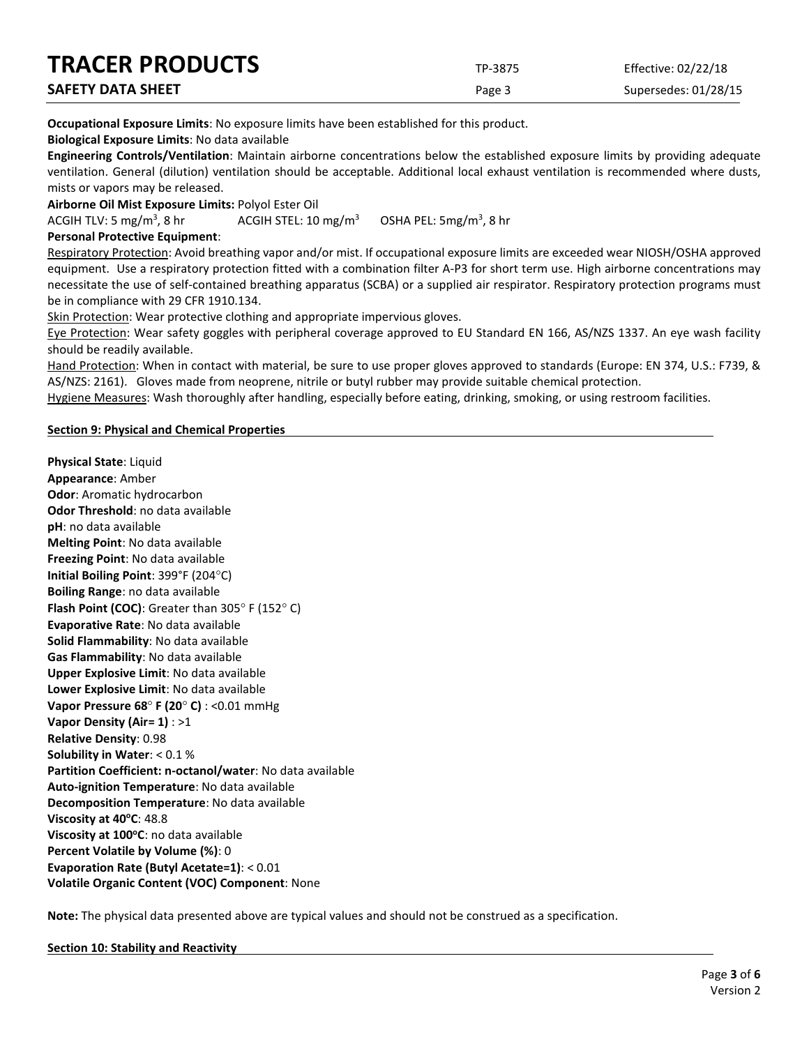| <b>TRACER PRODUCTS</b>   | TP-3875 | Effective: 02/22/18  |
|--------------------------|---------|----------------------|
| <b>SAFETY DATA SHEET</b> | Page 3  | Supersedes: 01/28/15 |

**Occupational Exposure Limits**: No exposure limits have been established for this product.

**Biological Exposure Limits**: No data available

**Engineering Controls/Ventilation**: Maintain airborne concentrations below the established exposure limits by providing adequate ventilation. General (dilution) ventilation should be acceptable. Additional local exhaust ventilation is recommended where dusts, mists or vapors may be released.

**Airborne Oil Mist Exposure Limits:** Polyol Ester Oil

ACGIH TLV: 5 mg/m<sup>3</sup>, 8 hr ACGIH STEL:  $10 \text{ mg/m}^3$ OSHA PEL:  $5mg/m<sup>3</sup>$ , 8 hr

# **Personal Protective Equipment**:

Respiratory Protection: Avoid breathing vapor and/or mist. If occupational exposure limits are exceeded wear NIOSH/OSHA approved equipment. Use a respiratory protection fitted with a combination filter A-P3 for short term use. High airborne concentrations may necessitate the use of self-contained breathing apparatus (SCBA) or a supplied air respirator. Respiratory protection programs must be in compliance with 29 CFR 1910.134.

Skin Protection: Wear protective clothing and appropriate impervious gloves.

Eye Protection: Wear safety goggles with peripheral coverage approved to EU Standard EN 166, AS/NZS 1337. An eye wash facility should be readily available.

Hand Protection: When in contact with material, be sure to use proper gloves approved to standards (Europe: EN 374, U.S.: F739, & AS/NZS: 2161). Gloves made from neoprene, nitrile or butyl rubber may provide suitable chemical protection.

Hygiene Measures: Wash thoroughly after handling, especially before eating, drinking, smoking, or using restroom facilities.

#### **Section 9: Physical and Chemical Properties**

**Physical State**: Liquid **Appearance**: Amber **Odor**: Aromatic hydrocarbon **Odor Threshold**: no data available **pH**: no data available **Melting Point**: No data available **Freezing Point**: No data available **Initial Boiling Point**: 399°F (204°C) **Boiling Range**: no data available **Flash Point (COC)**: Greater than 305° F (152° C) **Evaporative Rate**: No data available **Solid Flammability**: No data available **Gas Flammability**: No data available **Upper Explosive Limit**: No data available **Lower Explosive Limit**: No data available **Vapor Pressure 68**° **F (20**° **C)** : <0.01 mmHg **Vapor Density (Air= 1)** : >1 **Relative Density**: 0.98 **Solubility in Water**: < 0.1 % **Partition Coefficient: n-octanol/water**: No data available **Auto-ignition Temperature**: No data available **Decomposition Temperature**: No data available **Viscosity at 40°C: 48.8 Viscosity at 100°C**: no data available **Percent Volatile by Volume (%)**: 0 **Evaporation Rate (Butyl Acetate=1)**: < 0.01 **Volatile Organic Content (VOC) Component**: None

**Note:** The physical data presented above are typical values and should not be construed as a specification.

# **Section 10: Stability and Reactivity**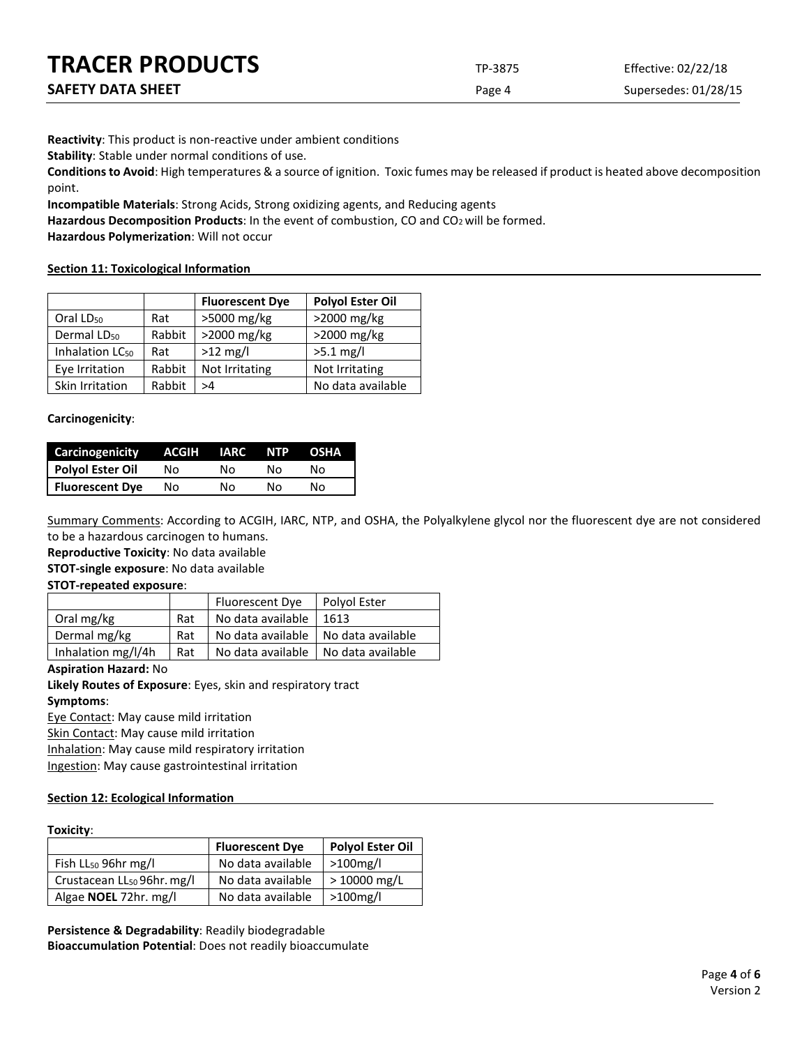| <b>TRACER PRODUCTS</b>   | TP-3875 | Effective: 02/22/18  |
|--------------------------|---------|----------------------|
| <b>SAFETY DATA SHEET</b> | Page 4  | Supersedes: 01/28/15 |

**Reactivity**: This product is non-reactive under ambient conditions

**Stability**: Stable under normal conditions of use.

**Conditions to Avoid**: High temperatures & a source of ignition. Toxic fumes may be released if product is heated above decomposition point.

**Incompatible Materials**: Strong Acids, Strong oxidizing agents, and Reducing agents

Hazardous Decomposition Products: In the event of combustion, CO and CO<sub>2</sub> will be formed.

**Hazardous Polymerization**: Will not occur

#### **Section 11: Toxicological Information**

|                             |        | <b>Fluorescent Dye</b> | <b>Polyol Ester Oil</b> |
|-----------------------------|--------|------------------------|-------------------------|
| Oral LD <sub>50</sub>       | Rat    | >5000 mg/kg            | >2000 mg/kg             |
| Dermal LD <sub>50</sub>     | Rabbit | >2000 mg/kg            | >2000 mg/kg             |
| Inhalation LC <sub>50</sub> | Rat    | $>12$ mg/l             | $>5.1$ mg/l             |
| Eye Irritation              | Rabbit | Not Irritating         | Not Irritating          |
| Skin Irritation             | Rabbit | >4                     | No data available       |

#### **Carcinogenicity**:

| Carcinogenicity        | ACGIH | <b>IARC</b> | NTP. | OSHA |
|------------------------|-------|-------------|------|------|
| Polyol Ester Oil       | Nο    | N٥          | N٥   | N٥   |
| <b>Fluorescent Dye</b> | Nο    | N٥          | N٥   | N٥   |

Summary Comments: According to ACGIH, IARC, NTP, and OSHA, the Polyalkylene glycol nor the fluorescent dye are not considered to be a hazardous carcinogen to humans.

**Reproductive Toxicity**: No data available

**STOT-single exposure**: No data available

#### **STOT-repeated exposure**:

|                    |     | Fluorescent Dye                       | Polyol Ester |
|--------------------|-----|---------------------------------------|--------------|
| Oral mg/kg         | Rat | No data available                     | 1613         |
| Dermal mg/kg       | Rat | No data available   No data available |              |
| Inhalation mg/l/4h | Rat | No data available   No data available |              |

#### **Aspiration Hazard:** No

**Likely Routes of Exposure**: Eyes, skin and respiratory tract **Symptoms**:

Eye Contact: May cause mild irritation

Skin Contact: May cause mild irritation

Inhalation: May cause mild respiratory irritation

Ingestion: May cause gastrointestinal irritation

# **Section 12: Ecological Information**

#### **Toxicity**:

|                                        | <b>Fluorescent Dye</b> | <b>Polyol Ester Oil</b> |
|----------------------------------------|------------------------|-------------------------|
| Fish LL <sub>50</sub> 96hr mg/l        | No data available      | >100mg/l                |
| Crustacean LL <sub>50</sub> 96hr. mg/l | No data available      | > 10000 mg/L            |
| Algae NOEL 72hr. mg/l                  | No data available      | $>100$ mg/l             |

**Persistence & Degradability**: Readily biodegradable **Bioaccumulation Potential**: Does not readily bioaccumulate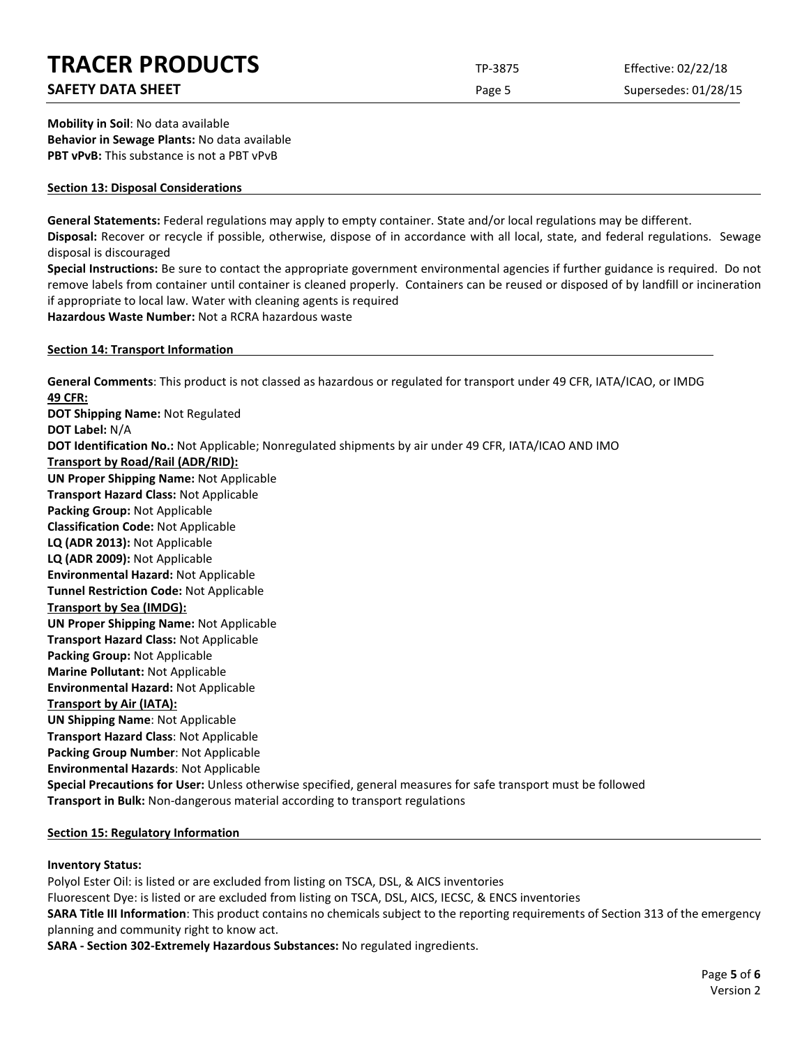# **TRACER PRODUCTS** TP-3875 Effective: 02/22/18

# **SAFETY DATA SHEET** SUPERFOUR CONSUMING THE Page 5 Supersedes: 01/28/15

**Mobility in Soil**: No data available **Behavior in Sewage Plants:** No data available **PBT vPvB:** This substance is not a PBT vPvB

#### **Section 13: Disposal Considerations**

**General Statements:** Federal regulations may apply to empty container. State and/or local regulations may be different. **Disposal:** Recover or recycle if possible, otherwise, dispose of in accordance with all local, state, and federal regulations. Sewage

disposal is discouraged

**Special Instructions:** Be sure to contact the appropriate government environmental agencies if further guidance is required. Do not remove labels from container until container is cleaned properly. Containers can be reused or disposed of by landfill or incineration if appropriate to local law. Water with cleaning agents is required

**Hazardous Waste Number:** Not a RCRA hazardous waste

#### **Section 14: Transport Information**

**General Comments**: This product is not classed as hazardous or regulated for transport under 49 CFR, IATA/ICAO, or IMDG **49 CFR: DOT Shipping Name:** Not Regulated **DOT Label:** N/A **DOT Identification No.:** Not Applicable; Nonregulated shipments by air under 49 CFR, IATA/ICAO AND IMO **Transport by Road/Rail (ADR/RID): UN Proper Shipping Name:** Not Applicable **Transport Hazard Class:** Not Applicable **Packing Group:** Not Applicable **Classification Code:** Not Applicable **LQ (ADR 2013):** Not Applicable **LQ (ADR 2009):** Not Applicable **Environmental Hazard:** Not Applicable **Tunnel Restriction Code:** Not Applicable **Transport by Sea (IMDG): UN Proper Shipping Name:** Not Applicable **Transport Hazard Class:** Not Applicable **Packing Group:** Not Applicable **Marine Pollutant:** Not Applicable **Environmental Hazard:** Not Applicable **Transport by Air (IATA): UN Shipping Name**: Not Applicable **Transport Hazard Class**: Not Applicable **Packing Group Number**: Not Applicable **Environmental Hazards**: Not Applicable **Special Precautions for User:** Unless otherwise specified, general measures for safe transport must be followed **Transport in Bulk:** Non-dangerous material according to transport regulations

# **Section 15: Regulatory Information**

# **Inventory Status:**

Polyol Ester Oil: is listed or are excluded from listing on TSCA, DSL, & AICS inventories Fluorescent Dye: is listed or are excluded from listing on TSCA, DSL, AICS, IECSC, & ENCS inventories **SARA Title III Information**: This product contains no chemicals subject to the reporting requirements of Section 313 of the emergency planning and community right to know act.

**SARA - Section 302-Extremely Hazardous Substances:** No regulated ingredients.